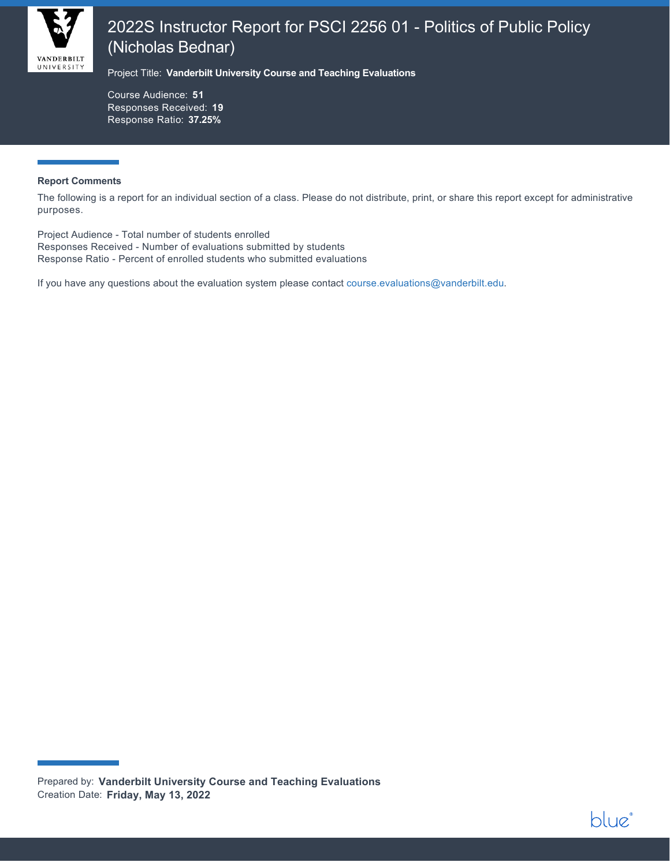

# 2022S Instructor Report for PSCI 2256 01 - Politics of Public Policy (Nicholas Bednar)

Project Title: **Vanderbilt University Course and Teaching Evaluations**

Course Audience: **51** Responses Received: **19** Response Ratio: **37.25%**

#### **Report Comments**

The following is a report for an individual section of a class. Please do not distribute, print, or share this report except for administrative purposes.

blue

Project Audience - Total number of students enrolled Responses Received - Number of evaluations submitted by students Response Ratio - Percent of enrolled students who submitted evaluations

If you have any questions about the evaluation system please contact [course.evaluations@vanderbilt.edu.](mailto:course.evaluations@vanderbilt.edu)

Prepared by: **Vanderbilt University Course and Teaching Evaluations** Creation Date: **Friday, May 13, 2022**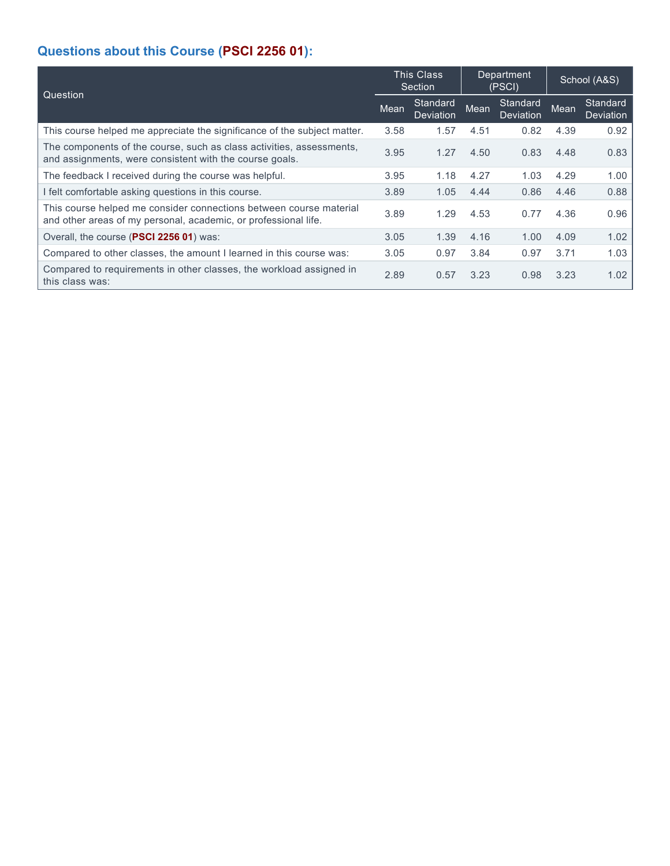# **Questions about this Course (PSCI 2256 01):**

| Question                                                                                                                              |      | <b>This Class</b><br>Section |      | Department<br>(PSCI)  |      | School (A&S)                 |  |
|---------------------------------------------------------------------------------------------------------------------------------------|------|------------------------------|------|-----------------------|------|------------------------------|--|
|                                                                                                                                       |      | Standard<br>Deviation        | Mean | Standard<br>Deviation | Mean | Standard<br><b>Deviation</b> |  |
| This course helped me appreciate the significance of the subject matter.                                                              | 3.58 | 1.57                         | 4.51 | 0.82                  | 4.39 | 0.92                         |  |
| The components of the course, such as class activities, assessments,<br>and assignments, were consistent with the course goals.       | 3.95 | 1.27                         | 4.50 | 0.83                  | 4.48 | 0.83                         |  |
| The feedback I received during the course was helpful.                                                                                | 3.95 | 1.18                         | 4.27 | 1.03                  | 4.29 | 1.00                         |  |
| I felt comfortable asking questions in this course.                                                                                   | 3.89 | 1.05                         | 4.44 | 0.86                  | 4.46 | 0.88                         |  |
| This course helped me consider connections between course material<br>and other areas of my personal, academic, or professional life. | 3.89 | 1.29                         | 4.53 | 0.77                  | 4.36 | 0.96                         |  |
| Overall, the course (PSCI 2256 01) was:                                                                                               | 3.05 | 1.39                         | 4.16 | 1.00                  | 4.09 | 1.02                         |  |
| Compared to other classes, the amount I learned in this course was:                                                                   | 3.05 | 0.97                         | 3.84 | 0.97                  | 3.71 | 1.03                         |  |
| Compared to requirements in other classes, the workload assigned in<br>this class was:                                                | 2.89 | 0.57                         | 3.23 | 0.98                  | 3.23 | 1.02                         |  |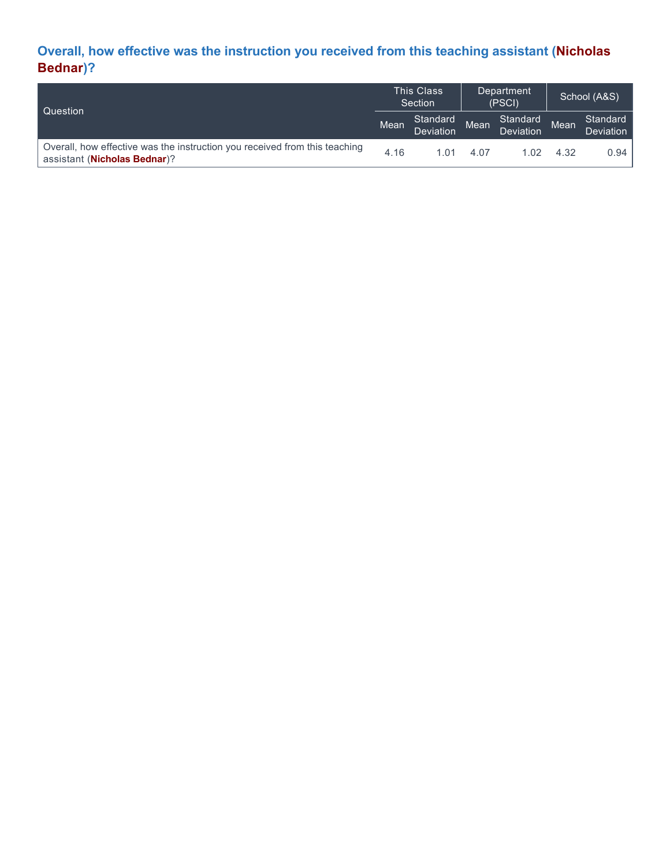## **Overall, how effective was the instruction you received from this teaching assistant (Nicholas Bednar)?**

| Question                                                                                                            |      | <b>This Class</b><br>Section |      | Department<br>(PSCI)  |      | School (A&S)                 |  |
|---------------------------------------------------------------------------------------------------------------------|------|------------------------------|------|-----------------------|------|------------------------------|--|
|                                                                                                                     |      | Standard<br>Deviation        | Mean | Standard<br>Deviation | Mean | Standard<br><b>Deviation</b> |  |
| Overall, how effective was the instruction you received from this teaching<br>assistant ( <b>Nicholas Bednar</b> )? | 4.16 | 1 01                         | 4.07 | 1.02                  | 4.32 | 0.94                         |  |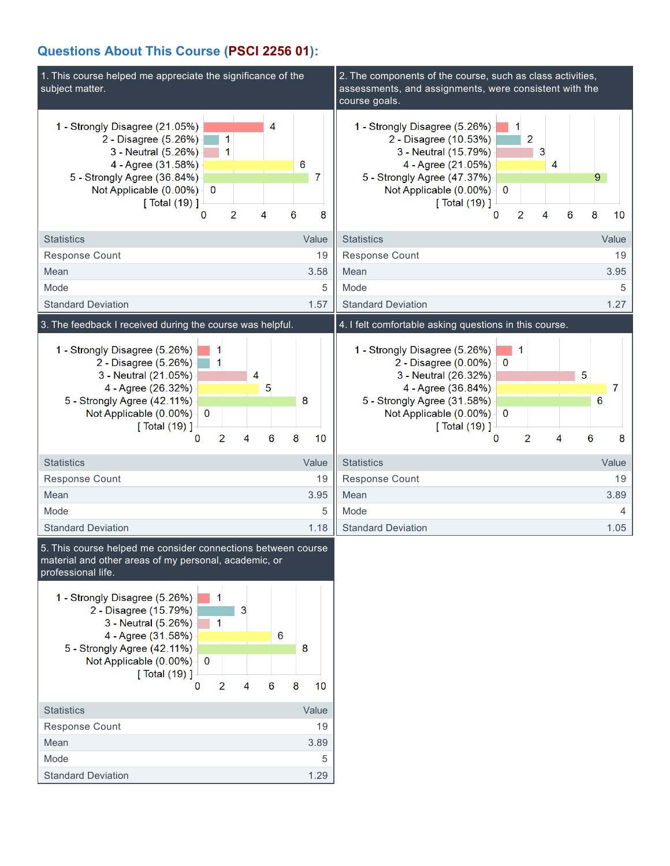## **Questions About This Course (PSCI 2256 01):**

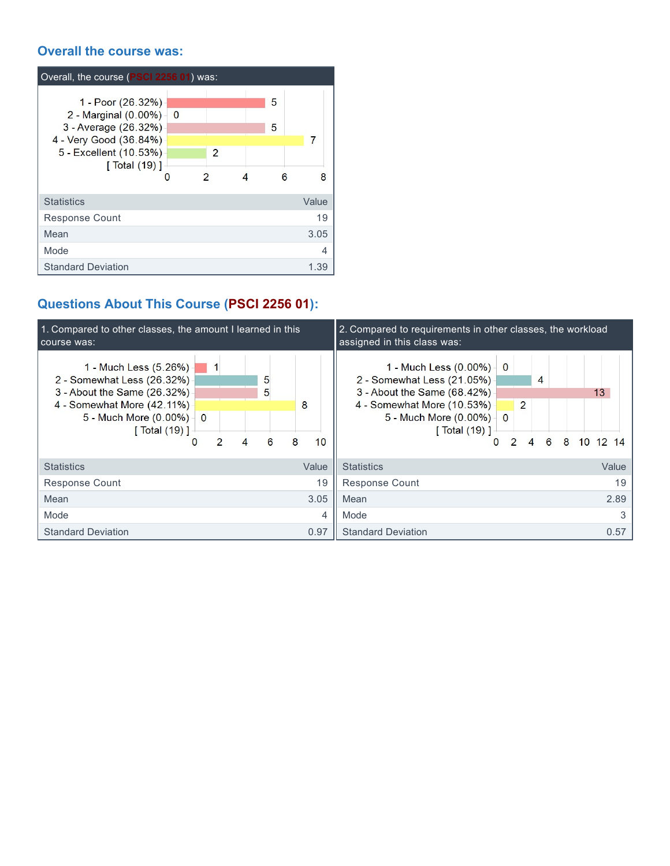### **Overall the course was:**

| Overall, the course (PSCI 2256 01) was:                                                                                                               |   |        |       |
|-------------------------------------------------------------------------------------------------------------------------------------------------------|---|--------|-------|
| 1 - Poor (26.32%)<br>2 - Marginal $(0.00\%)$ 0<br>3 - Average (26.32%)<br>4 - Very Good (36.84%)<br>5 - Excellent (10.53%)<br>$\lceil$ Total $(19)$ ] | 2 | 5<br>5 | 7     |
|                                                                                                                                                       | 2 | 6      | я     |
| <b>Statistics</b>                                                                                                                                     |   |        | Value |
| <b>Response Count</b>                                                                                                                                 |   |        | 19    |
| Mean                                                                                                                                                  |   |        | 3.05  |
| Mode                                                                                                                                                  |   |        | 4     |
| <b>Standard Deviation</b>                                                                                                                             |   |        | 1.39  |

# **Questions About This Course (PSCI 2256 01):**

| 1. Compared to other classes, the amount I learned in this<br>course was:                                                                                                                       |                            | 2. Compared to requirements in other classes, the workload<br>assigned in this class was:                                                                                                                                                                                                                      |  |  |  |  |  |
|-------------------------------------------------------------------------------------------------------------------------------------------------------------------------------------------------|----------------------------|----------------------------------------------------------------------------------------------------------------------------------------------------------------------------------------------------------------------------------------------------------------------------------------------------------------|--|--|--|--|--|
| 1 - Much Less (5.26%) -<br>2 - Somewhat Less (26.32%)<br>3 - About the Same (26.32%)<br>4 - Somewhat More (42.11%)<br>5 - Much More $(0.00\%)$ 0<br>[ Total (19) ]<br>$\mathcal{P}$<br>$\Omega$ | 5<br>5<br>8<br>8<br>6<br>4 | 1 - Much Less $(0.00\%)$ 0<br>2 - Somewhat Less (21.05%)<br>$\overline{4}$<br>3 - About the Same (68.42%)<br>13<br>4 - Somewhat More (10.53%) -<br>$\overline{2}$<br>5 - Much More $(0.00\%)$ 0<br>$\lceil$ Total $(19)$ ]<br>10<br>6<br>8<br>$\overline{2}$<br>4<br>$12 \; 14$<br>$\Omega$<br>10 <sup>1</sup> |  |  |  |  |  |
| <b>Statistics</b>                                                                                                                                                                               | Value                      | <b>Statistics</b><br>Value                                                                                                                                                                                                                                                                                     |  |  |  |  |  |
| <b>Response Count</b>                                                                                                                                                                           |                            | 19<br>19<br>Response Count                                                                                                                                                                                                                                                                                     |  |  |  |  |  |
| Mean                                                                                                                                                                                            | 3.05                       | 2.89<br>Mean                                                                                                                                                                                                                                                                                                   |  |  |  |  |  |
| Mode                                                                                                                                                                                            |                            | 4<br>3<br>Mode                                                                                                                                                                                                                                                                                                 |  |  |  |  |  |
| <b>Standard Deviation</b>                                                                                                                                                                       | 0.97                       | <b>Standard Deviation</b><br>0.57                                                                                                                                                                                                                                                                              |  |  |  |  |  |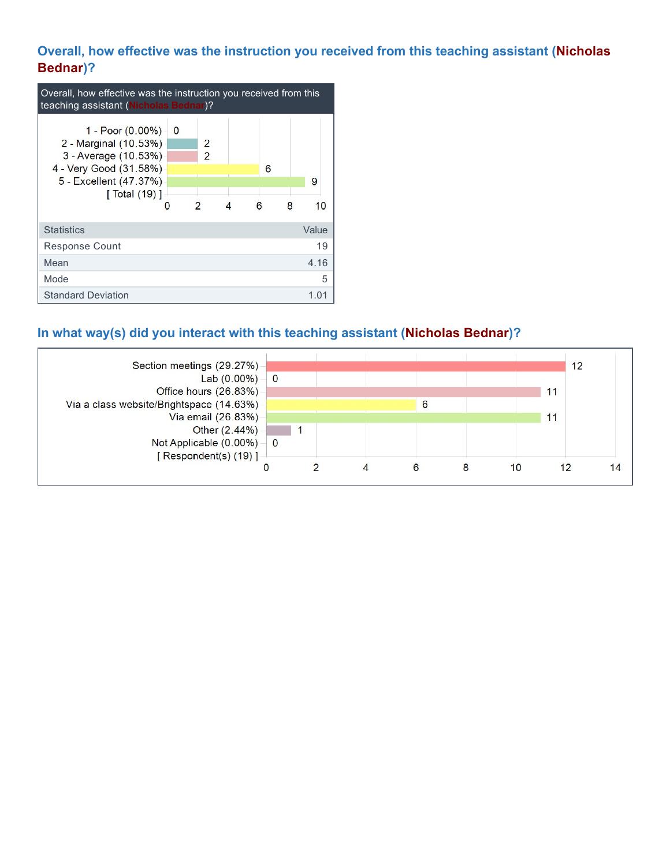### **Overall, how effective was the instruction you received from this teaching assistant (Nicholas Bednar)?**

| Overall, how effective was the instruction you received from this<br>teaching assistant (Nicholas Bednar)?                                                |          |                                                  |   |        |   |         |  |  |
|-----------------------------------------------------------------------------------------------------------------------------------------------------------|----------|--------------------------------------------------|---|--------|---|---------|--|--|
| 1 - Poor (0.00%) -<br>2 - Marginal (10.53%)<br>3 - Average (10.53%)<br>4 - Very Good (31.58%)<br>5 - Excellent (47.37%)<br>$\sqrt{$ Total (19) $\sqrt{ }$ | - 0<br>0 | $\mathcal{P}$<br>$\overline{2}$<br>$\mathcal{P}$ | 4 | 6<br>6 | 8 | 9<br>10 |  |  |
| <b>Statistics</b>                                                                                                                                         |          |                                                  |   |        |   | Value   |  |  |
| <b>Response Count</b>                                                                                                                                     |          |                                                  |   |        |   | 19      |  |  |
| Mean                                                                                                                                                      |          |                                                  |   |        |   | 4.16    |  |  |
| Mode                                                                                                                                                      |          |                                                  |   |        |   | 5       |  |  |
| <b>Standard Deviation</b>                                                                                                                                 |          |                                                  |   |        |   | 1 በ1    |  |  |

## **In what way(s) did you interact with this teaching assistant (Nicholas Bednar)?**